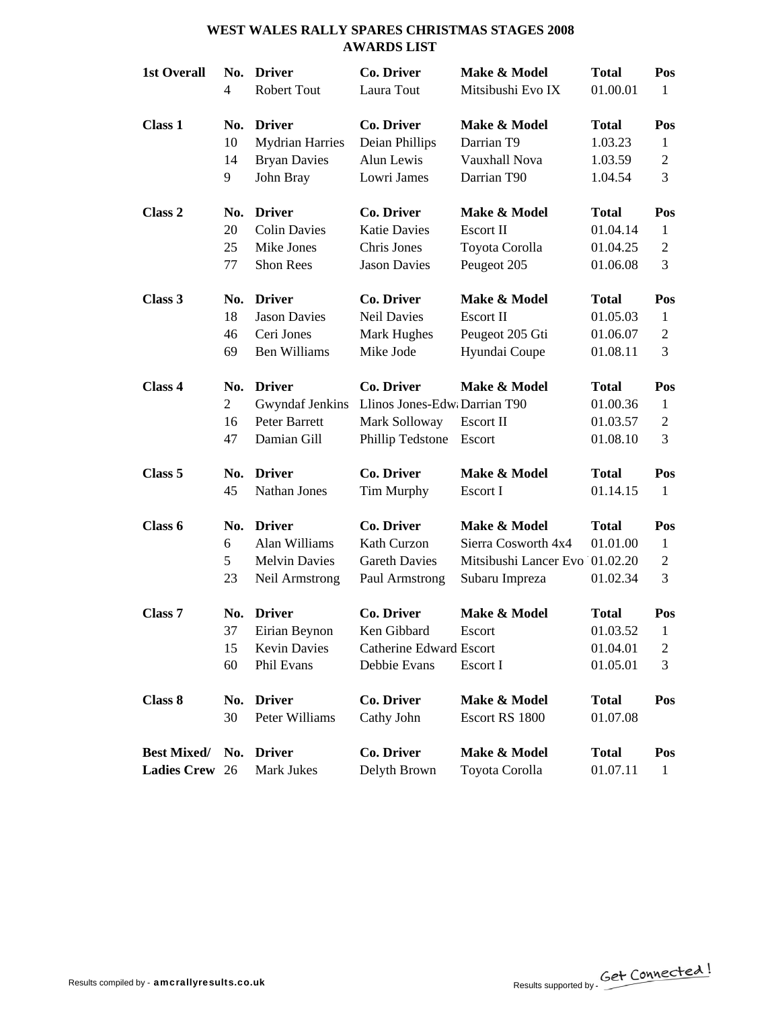| WEST WALES RALLY SPARES CHRISTMAS STAGES 2008 |
|-----------------------------------------------|
| <b>AWARDS LIST</b>                            |

| <b>1st Overall</b>    | No. | <b>Driver</b>          | <b>Co. Driver</b>             | Make & Model                   | <b>Total</b> | Pos            |
|-----------------------|-----|------------------------|-------------------------------|--------------------------------|--------------|----------------|
|                       | 4   | <b>Robert Tout</b>     | Laura Tout                    | Mitsibushi Evo IX              | 01.00.01     | 1              |
| <b>Class 1</b>        | No. | <b>Driver</b>          | <b>Co. Driver</b>             | Make & Model                   | <b>Total</b> | Pos            |
|                       | 10  | <b>Mydrian Harries</b> | Deian Phillips                | Darrian T9                     | 1.03.23      | 1              |
|                       | 14  | <b>Bryan Davies</b>    | Alun Lewis                    | Vauxhall Nova                  | 1.03.59      | $\overline{2}$ |
|                       | 9   | John Bray              | Lowri James                   | Darrian T90                    | 1.04.54      | 3              |
| Class 2               | No. | <b>Driver</b>          | <b>Co. Driver</b>             | Make & Model                   | <b>Total</b> | Pos            |
|                       | 20  | <b>Colin Davies</b>    | <b>Katie Davies</b>           | Escort II                      | 01.04.14     | $\mathbf{1}$   |
|                       | 25  | Mike Jones             | Chris Jones                   | Toyota Corolla                 | 01.04.25     | $\overline{2}$ |
|                       | 77  | Shon Rees              | <b>Jason Davies</b>           | Peugeot 205                    | 01.06.08     | 3              |
| Class 3               | No. | <b>Driver</b>          | <b>Co. Driver</b>             | Make & Model                   | <b>Total</b> | Pos            |
|                       | 18  | <b>Jason Davies</b>    | <b>Neil Davies</b>            | Escort II                      | 01.05.03     | $\mathbf{1}$   |
|                       | 46  | Ceri Jones             | Mark Hughes                   | Peugeot 205 Gti                | 01.06.07     | $\overline{2}$ |
|                       | 69  | <b>Ben Williams</b>    | Mike Jode                     | Hyundai Coupe                  | 01.08.11     | 3              |
| Class 4               | No. | <b>Driver</b>          | <b>Co. Driver</b>             | Make & Model                   | <b>Total</b> | Pos            |
|                       | 2   | Gwyndaf Jenkins        | Llinos Jones-Edw: Darrian T90 |                                | 01.00.36     | $\mathbf{1}$   |
|                       | 16  | Peter Barrett          | Mark Solloway                 | Escort II                      | 01.03.57     | $\overline{2}$ |
|                       | 47  | Damian Gill            | Phillip Tedstone              | Escort                         | 01.08.10     | 3              |
| Class 5               | No. | <b>Driver</b>          | <b>Co. Driver</b>             | Make & Model                   | <b>Total</b> | Pos            |
|                       | 45  | Nathan Jones           | Tim Murphy                    | Escort I                       | 01.14.15     | $\mathbf{1}$   |
| Class 6               | No. | <b>Driver</b>          | <b>Co. Driver</b>             | Make & Model                   | <b>Total</b> | Pos            |
|                       | 6   | Alan Williams          | Kath Curzon                   | Sierra Cosworth 4x4            | 01.01.00     | $\mathbf{1}$   |
|                       | 5   | <b>Melvin Davies</b>   | <b>Gareth Davies</b>          | Mitsibushi Lancer Evo 01.02.20 |              | $\overline{2}$ |
|                       | 23  | Neil Armstrong         | Paul Armstrong                | Subaru Impreza                 | 01.02.34     | 3              |
| Class <sub>7</sub>    | No. | <b>Driver</b>          | <b>Co. Driver</b>             | Make & Model                   | <b>Total</b> | Pos            |
|                       | 37  | Eirian Beynon          | Ken Gibbard                   | Escort                         | 01.03.52     | 1              |
|                       | 15  | <b>Kevin Davies</b>    | Catherine Edward Escort       |                                | 01.04.01     | $\overline{c}$ |
|                       | 60  | Phil Evans             | Debbie Evans                  | Escort I                       | 01.05.01     | 3              |
| Class 8               | No. | <b>Driver</b>          | Co. Driver                    | Make & Model                   | <b>Total</b> | Pos            |
|                       | 30  | Peter Williams         | Cathy John                    | Escort RS 1800                 | 01.07.08     |                |
| <b>Best Mixed/</b>    | No. | <b>Driver</b>          | Co. Driver                    | Make & Model                   | <b>Total</b> | Pos            |
| <b>Ladies Crew 26</b> |     | Mark Jukes             | Delyth Brown                  | Toyota Corolla                 | 01.07.11     | $\mathbf{1}$   |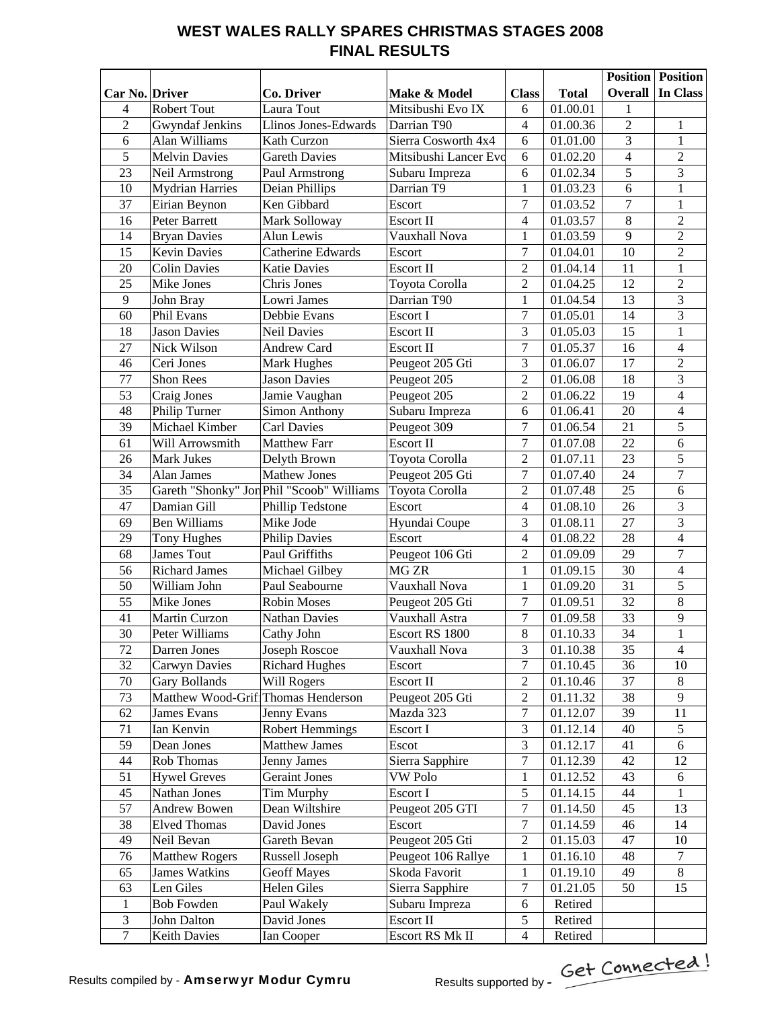# **WEST WALES RALLY SPARES CHRISTMAS STAGES 2008 FINAL RESULTS**

|                |                                    |                                           |                       |                  |              |                 | <b>Position Position</b> |
|----------------|------------------------------------|-------------------------------------------|-----------------------|------------------|--------------|-----------------|--------------------------|
| Car No. Driver |                                    | Co. Driver                                | Make & Model          | <b>Class</b>     | <b>Total</b> | Overall         | In Class                 |
| $\overline{4}$ | <b>Robert Tout</b>                 | Laura Tout                                | Mitsibushi Evo IX     | 6                | 01.00.01     | 1               |                          |
| $\overline{2}$ | Gwyndaf Jenkins                    | Llinos Jones-Edwards                      | Darrian T90           | $\overline{4}$   | 01.00.36     | $\overline{2}$  | 1                        |
| 6              | Alan Williams                      | Kath Curzon                               | Sierra Cosworth 4x4   | 6                | 01.01.00     | $\overline{3}$  | $\mathbf{1}$             |
| 5              | <b>Melvin Davies</b>               | <b>Gareth Davies</b>                      | Mitsibushi Lancer Evc | 6                | 01.02.20     | $\overline{4}$  | $\overline{2}$           |
| 23             | Neil Armstrong                     | Paul Armstrong                            | Subaru Impreza        | 6                | 01.02.34     | 5               | $\overline{\mathbf{3}}$  |
| 10             | <b>Mydrian Harries</b>             | Deian Phillips                            | Darrian T9            | $\mathbf{1}$     | 01.03.23     | 6               | $\mathbf{1}$             |
| 37             | Eirian Beynon                      | Ken Gibbard                               | Escort                | 7                | 01.03.52     | 7               | $\mathbf{1}$             |
| 16             | Peter Barrett                      | Mark Solloway                             | Escort II             | 4                | 01.03.57     | 8               | $\overline{2}$           |
| 14             | <b>Bryan Davies</b>                | Alun Lewis                                | Vauxhall Nova         | 1                | 01.03.59     | 9               | $\overline{2}$           |
| 15             | <b>Kevin Davies</b>                | Catherine Edwards                         | Escort                | 7                | 01.04.01     | 10              | $\sqrt{2}$               |
| 20             | <b>Colin Davies</b>                | <b>Katie Davies</b>                       | Escort II             | $\overline{2}$   | 01.04.14     | 11              | $\mathbf{1}$             |
| 25             | Mike Jones                         | Chris Jones                               | Toyota Corolla        | $\overline{2}$   | 01.04.25     | 12              | $\sqrt{2}$               |
| 9              | John Bray                          | Lowri James                               | Darrian T90           | 1                | 01.04.54     | 13              | $\overline{\mathbf{3}}$  |
| 60             | Phil Evans                         | Debbie Evans                              | Escort I              | $\tau$           | 01.05.01     | 14              | 3                        |
| 18             | <b>Jason Davies</b>                | <b>Neil Davies</b>                        | Escort II             | 3                | 01.05.03     | $\overline{15}$ | $\mathbf{1}$             |
| 27             | Nick Wilson                        | Andrew Card                               | Escort II             | $\overline{7}$   | 01.05.37     | 16              | $\overline{4}$           |
| 46             | Ceri Jones                         | Mark Hughes                               | Peugeot 205 Gti       | 3                | 01.06.07     | 17              | $\overline{2}$           |
| 77             | Shon Rees                          | <b>Jason Davies</b>                       | Peugeot 205           | $\overline{2}$   | 01.06.08     | 18              | $\overline{3}$           |
| 53             | Craig Jones                        | Jamie Vaughan                             | Peugeot 205           | $\overline{2}$   | 01.06.22     | 19              | $\overline{4}$           |
| 48             | Philip Turner                      | <b>Simon Anthony</b>                      | Subaru Impreza        | 6                | 01.06.41     | 20              | $\overline{4}$           |
| 39             | Michael Kimber                     | Carl Davies                               | Peugeot 309           | $\tau$           | 01.06.54     | 21              | $\overline{5}$           |
| 61             | Will Arrowsmith                    | Matthew Farr                              | Escort II             | $\tau$           | 01.07.08     | 22              | $\overline{6}$           |
| 26             | Mark Jukes                         | Delyth Brown                              | Toyota Corolla        | $\overline{c}$   | 01.07.11     | 23              | $\overline{5}$           |
| 34             | Alan James                         | <b>Mathew Jones</b>                       | Peugeot 205 Gti       | $\tau$           | 01.07.40     | 24              | $\overline{7}$           |
| 35             |                                    | Gareth "Shonky" Jon Phil "Scoob" Williams | Toyota Corolla        | $\overline{2}$   | 01.07.48     | 25              | 6                        |
| 47             | Damian Gill                        |                                           | Escort                | $\overline{4}$   | 01.08.10     | 26              | $\overline{3}$           |
|                |                                    | Phillip Tedstone                          |                       | 3                |              | 27              | $\overline{3}$           |
| 69             | <b>Ben Williams</b>                | Mike Jode                                 | Hyundai Coupe         | $\overline{4}$   | 01.08.11     | 28              | $\overline{4}$           |
| 29             | Tony Hughes                        | <b>Philip Davies</b>                      | Escort                | $\overline{2}$   | 01.08.22     | 29              | $\overline{7}$           |
| 68             | James Tout                         | Paul Griffiths                            | Peugeot 106 Gti       |                  | 01.09.09     |                 | $\overline{4}$           |
| 56             | <b>Richard James</b>               | Michael Gilbey                            | MG <sub>ZR</sub>      | 1                | 01.09.15     | 30              | $\overline{5}$           |
| 50             | William John                       | Paul Seabourne                            | Vauxhall Nova         | $\mathbf{1}$     | 01.09.20     | $\overline{31}$ |                          |
| 55             | Mike Jones                         | <b>Robin Moses</b>                        | Peugeot 205 Gti       | 7                | 01.09.51     | 32              | $\overline{8}$           |
| 41             | Martin Curzon                      | <b>Nathan Davies</b>                      | Vauxhall Astra        | $\tau$           | 01.09.58     | $\overline{33}$ | $\overline{9}$           |
| 30             | Peter Williams                     | Cathy John                                | Escort RS 1800        | 8                | 01.10.33     | 34              | $\mathbf{1}$             |
| 72             | Darren Jones                       | Joseph Roscoe                             | Vauxhall Nova         | 3                | 01.10.38     | 35              | $\overline{4}$           |
| 32             | Carwyn Davies                      | <b>Richard Hughes</b>                     | Escort                | 7                | 01.10.45     | 36              | 10                       |
| 70             | Gary Bollands                      | Will Rogers                               | Escort II             | $\overline{2}$   | 01.10.46     | 37              | $\,8\,$                  |
| 73             | Matthew Wood-GriftThomas Henderson |                                           | Peugeot 205 Gti       | $\overline{c}$   | 01.11.32     | 38              | 9                        |
| 62             | James Evans                        | Jenny Evans                               | Mazda 323             | $\tau$           | 01.12.07     | 39              | 11                       |
| 71             | Ian Kenvin                         | <b>Robert Hemmings</b>                    | Escort I              | 3                | 01.12.14     | 40              | 5                        |
| 59             | Dean Jones                         | <b>Matthew James</b>                      | Escot                 | 3                | 01.12.17     | 41              | 6                        |
| 44             | Rob Thomas                         | <b>Jenny James</b>                        | Sierra Sapphire       | $\overline{7}$   | 01.12.39     | 42              | 12                       |
| 51             | <b>Hywel Greves</b>                | <b>Geraint Jones</b>                      | VW Polo               | $\mathbf{1}$     | 01.12.52     | 43              | $6\,$                    |
| 45             | Nathan Jones                       | Tim Murphy                                | Escort I              | $\sqrt{5}$       | 01.14.15     | 44              | 1                        |
| 57             | Andrew Bowen                       | Dean Wiltshire                            | Peugeot 205 GTI       | $\boldsymbol{7}$ | 01.14.50     | 45              | 13                       |
| 38             | <b>Elved Thomas</b>                | David Jones                               | Escort                | $\boldsymbol{7}$ | 01.14.59     | 46              | 14                       |
| 49             | Neil Bevan                         | Gareth Bevan                              | Peugeot 205 Gti       | $\boldsymbol{2}$ | 01.15.03     | 47              | 10                       |
| 76             | <b>Matthew Rogers</b>              | Russell Joseph                            | Peugeot 106 Rallye    | 1                | 01.16.10     | 48              | $\overline{7}$           |
| 65             | <b>James Watkins</b>               | <b>Geoff Mayes</b>                        | Skoda Favorit         | 1                | 01.19.10     | 49              | $8\,$                    |
| 63             | Len Giles                          | <b>Helen Giles</b>                        | Sierra Sapphire       | $\boldsymbol{7}$ | 01.21.05     | 50              | 15                       |
| $\mathbf{1}$   | <b>Bob Fowden</b>                  | Paul Wakely                               | Subaru Impreza        | $\sqrt{6}$       | Retired      |                 |                          |
| $\mathfrak{Z}$ | John Dalton                        | David Jones                               | Escort II             | $\sqrt{5}$       | Retired      |                 |                          |
| $\overline{7}$ | <b>Keith Davies</b>                | Ian Cooper                                | Escort RS Mk II       | $\overline{4}$   | Retired      |                 |                          |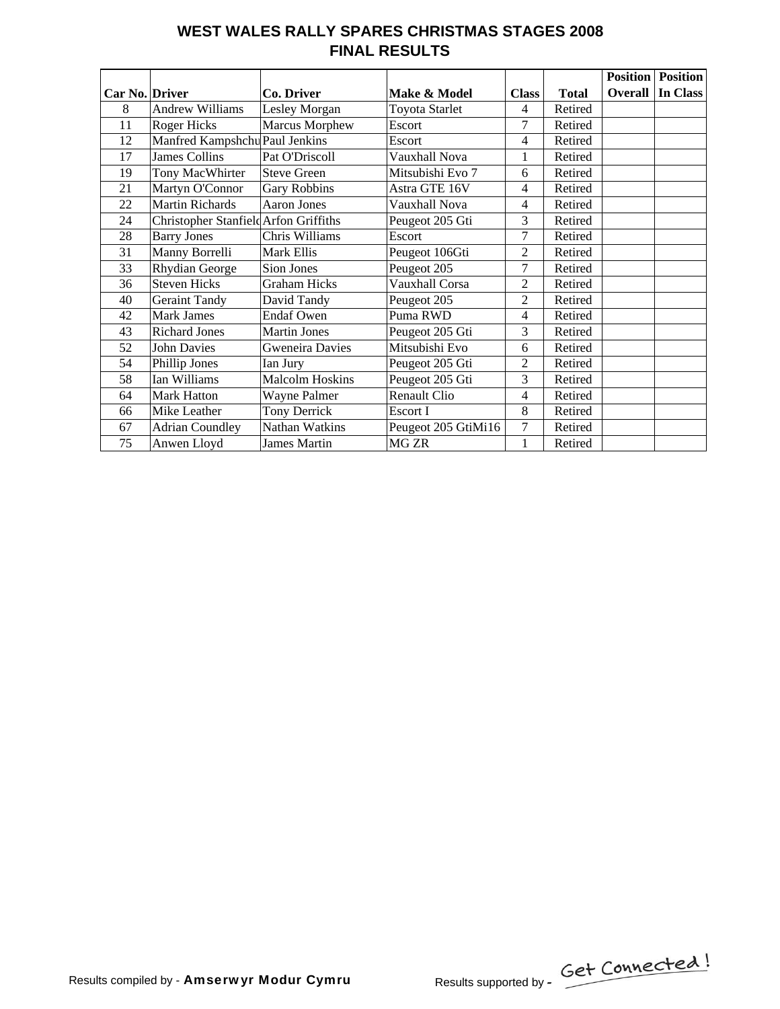# **WEST WALES RALLY SPARES CHRISTMAS STAGES 2008 FINAL RESULTS**

|                |                                       |                        |                     |                |              | <b>Position</b> | <b>Position</b> |
|----------------|---------------------------------------|------------------------|---------------------|----------------|--------------|-----------------|-----------------|
| Car No. Driver |                                       | Co. Driver             | Make & Model        | <b>Class</b>   | <b>Total</b> | Overall         | In Class        |
| 8              | <b>Andrew Williams</b>                | Lesley Morgan          | Toyota Starlet      | 4              | Retired      |                 |                 |
| 11             | <b>Roger Hicks</b>                    | Marcus Morphew         | Escort              | 7              | Retired      |                 |                 |
| 12             | Manfred Kampshchu Paul Jenkins        |                        | Escort              | 4              | Retired      |                 |                 |
| 17             | <b>James Collins</b>                  | Pat O'Driscoll         | Vauxhall Nova       | 1              | Retired      |                 |                 |
| 19             | Tony MacWhirter                       | <b>Steve Green</b>     | Mitsubishi Evo 7    | 6              | Retired      |                 |                 |
| 21             | Martyn O'Connor                       | <b>Gary Robbins</b>    | Astra GTE 16V       | 4              | Retired      |                 |                 |
| 22             | <b>Martin Richards</b>                | <b>Aaron Jones</b>     | Vauxhall Nova       | 4              | Retired      |                 |                 |
| 24             | Christopher Stanfield Arfon Griffiths |                        | Peugeot 205 Gti     | 3              | Retired      |                 |                 |
| 28             | <b>Barry Jones</b>                    | Chris Williams         | Escort              | 7              | Retired      |                 |                 |
| 31             | Manny Borrelli                        | Mark Ellis             | Peugeot 106Gti      | $\overline{c}$ | Retired      |                 |                 |
| 33             | <b>Rhydian George</b>                 | Sion Jones             | Peugeot 205         | 7              | Retired      |                 |                 |
| 36             | <b>Steven Hicks</b>                   | <b>Graham Hicks</b>    | Vauxhall Corsa      | $\overline{c}$ | Retired      |                 |                 |
| 40             | <b>Geraint Tandy</b>                  | David Tandy            | Peugeot 205         | $\overline{2}$ | Retired      |                 |                 |
| 42             | <b>Mark James</b>                     | <b>Endaf Owen</b>      | Puma RWD            | 4              | Retired      |                 |                 |
| 43             | <b>Richard Jones</b>                  | <b>Martin Jones</b>    | Peugeot 205 Gti     | 3              | Retired      |                 |                 |
| 52             | <b>John Davies</b>                    | <b>Gweneira Davies</b> | Mitsubishi Evo      | 6              | Retired      |                 |                 |
| 54             | Phillip Jones                         | Ian Jury               | Peugeot 205 Gti     | 2              | Retired      |                 |                 |
| 58             | Ian Williams                          | <b>Malcolm Hoskins</b> | Peugeot 205 Gti     | 3              | Retired      |                 |                 |
| 64             | Mark Hatton                           | Wayne Palmer           | Renault Clio        | 4              | Retired      |                 |                 |
| 66             | Mike Leather                          | Tony Derrick           | Escort I            | 8              | Retired      |                 |                 |
| 67             | <b>Adrian Coundley</b>                | Nathan Watkins         | Peugeot 205 GtiMi16 | 7              | Retired      |                 |                 |
| 75             | Anwen Lloyd                           | <b>James Martin</b>    | MG <sub>ZR</sub>    | 1              | Retired      |                 |                 |

Results compiled by - Amserwyr Modur Cymru Results supported by - Get Connected!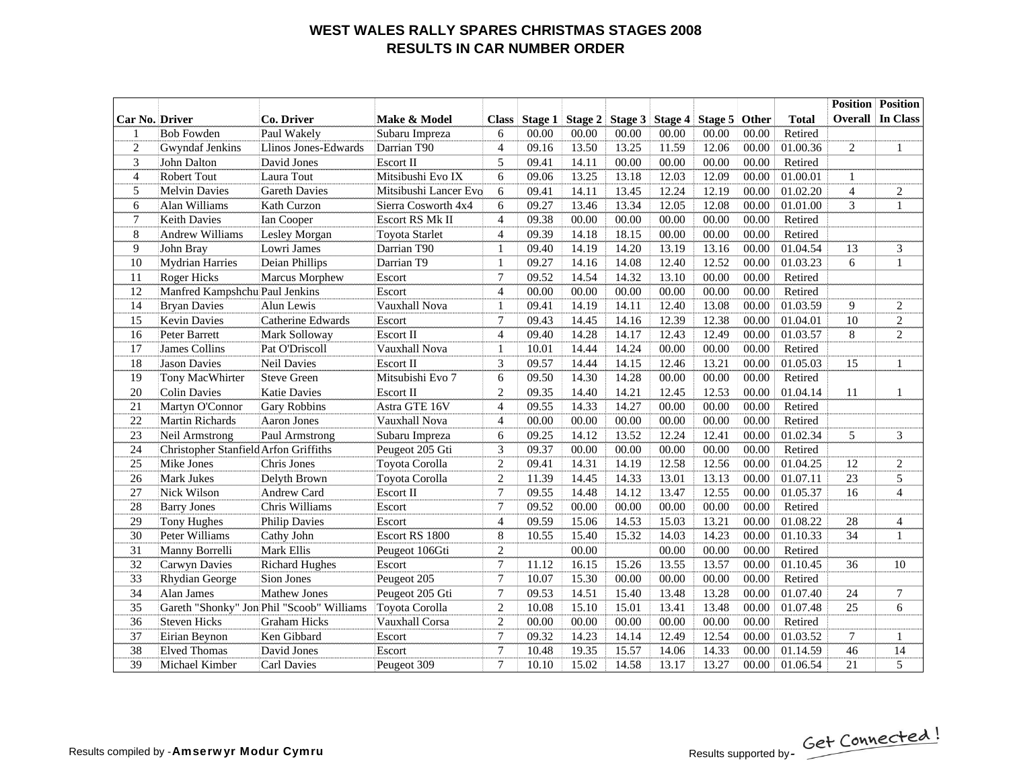#### **WEST WALES RALLY SPARES CHRISTMAS STAGES 2008 RESULTS IN CAR NUMBER ORDER**

|                       |                                       |                                           |                       |                |         |         |       |                 |               |       |              | <b>Position</b> | <b>Position</b> |
|-----------------------|---------------------------------------|-------------------------------------------|-----------------------|----------------|---------|---------|-------|-----------------|---------------|-------|--------------|-----------------|-----------------|
| <b>Car No. Driver</b> |                                       | Co. Driver                                | Make & Model          | <b>Class</b>   | Stage 1 | Stage 2 |       | Stage 3 Stage 4 | Stage 5 Other |       | <b>Total</b> | <b>Overall</b>  | In Class        |
| 1                     | <b>Bob Fowden</b>                     | Paul Wakely                               | Subaru Impreza        | 6              | 00.00   | 00.00   | 00.00 | 00.00           | 00.00         | 00.00 | Retired      |                 |                 |
| $\overline{c}$        | <b>Gwyndaf Jenkins</b>                | Llinos Jones-Edwards                      | Darrian T90           | $\overline{4}$ | 09.16   | 13.50   | 13.25 | 11.59           | 12.06         | 00.00 | 01.00.36     | $\overline{c}$  | $\mathbf{1}$    |
| 3                     | John Dalton                           | David Jones                               | Escort II             | 5              | 09.41   | 14.11   | 00.00 | 00.00           | 00.00         | 00.00 | Retired      |                 |                 |
| $\overline{4}$        | Robert Tout                           | Laura Tout                                | Mitsibushi Evo IX     | 6              | 09.06   | 13.25   | 13.18 | 12.03           | 12.09         | 00.00 | 01.00.01     | $\mathbf{1}$    |                 |
| 5                     | <b>Melvin Davies</b>                  | <b>Gareth Davies</b>                      | Mitsibushi Lancer Evo | 6              | 09.41   | 14.11   | 13.45 | 12.24           | 12.19         | 00.00 | 01.02.20     | $\overline{4}$  | $\sqrt{2}$      |
| 6                     | Alan Williams                         | Kath Curzon                               | Sierra Cosworth 4x4   | 6              | 09.27   | 13.46   | 13.34 | 12.05           | 12.08         | 00.00 | 01.01.00     | $\overline{3}$  | $\mathbf{1}$    |
| $\tau$                | <b>Keith Davies</b>                   | Ian Cooper                                | Escort RS Mk II       | $\overline{4}$ | 09.38   | 00.00   | 00.00 | 00.00           | 00.00         | 00.00 | Retired      |                 |                 |
| $\,8\,$               | <b>Andrew Williams</b>                | Lesley Morgan                             | <b>Toyota Starlet</b> | $\overline{4}$ | 09.39   | 14.18   | 18.15 | 00.00           | 00.00         | 00.00 | Retired      |                 |                 |
| 9                     | John Bray                             | Lowri James                               | Darrian T90           | $\mathbf{1}$   | 09.40   | 14.19   | 14.20 | 13.19           | 13.16         | 00.00 | 01.04.54     | 13              | 3               |
| 10                    | <b>Mydrian Harries</b>                | Deian Phillips                            | Darrian T9            | $\mathbf{1}$   | 09.27   | 14.16   | 14.08 | 12.40           | 12.52         | 00.00 | 01.03.23     | 6               | $\,1\,$         |
| 11                    | Roger Hicks                           | Marcus Morphew                            | Escort                | $\overline{7}$ | 09.52   | 14.54   | 14.32 | 13.10           | 00.00         | 00.00 | Retired      |                 |                 |
| 12                    | Manfred Kampshchu Paul Jenkins        |                                           | Escort                | $\overline{4}$ | 00.00   | 00.00   | 00.00 | 00.00           | 00.00         | 00.00 | Retired      |                 |                 |
| 14                    | <b>Bryan Davies</b>                   | Alun Lewis                                | Vauxhall Nova         | $\mathbf{1}$   | 09.41   | 14.19   | 14.11 | 12.40           | 13.08         | 00.00 | 01.03.59     | 9               | $\overline{2}$  |
| 15                    | <b>Kevin Davies</b>                   | Catherine Edwards                         | Escort                | $\overline{7}$ | 09.43   | 14.45   | 14.16 | 12.39           | 12.38         | 00.00 | 01.04.01     | 10              | $\sqrt{2}$      |
| 16                    | Peter Barrett                         | Mark Solloway                             | Escort II             | $\overline{4}$ | 09.40   | 14.28   | 14.17 | 12.43           | 12.49         | 00.00 | 01.03.57     | 8               | 2               |
| 17                    | James Collins                         | Pat O'Driscoll                            | Vauxhall Nova         | $\mathbf{1}$   | 10.01   | 14.44   | 14.24 | 00.00           | 00.00         | 00.00 | Retired      |                 |                 |
| 18                    | <b>Jason Davies</b>                   | Neil Davies                               | Escort II             | 3              | 09.57   | 14.44   | 14.15 | 12.46           | 13.21         | 00.00 | 01.05.03     | 15              | $\mathbf{1}$    |
| 19                    | Tony MacWhirter                       | Steve Green                               | Mitsubishi Evo 7      | 6              | 09.50   | 14.30   | 14.28 | 00.00           | 00.00         | 00.00 | Retired      |                 |                 |
| 20                    | <b>Colin Davies</b>                   | <b>Katie Davies</b>                       | Escort II             | 2              | 09.35   | 14.40   | 14.21 | 12.45           | 12.53         | 00.00 | 01.04.14     | 11              | $\mathbf{1}$    |
| 21                    | Martyn O'Connor                       | <b>Gary Robbins</b>                       | Astra GTE 16V         | $\overline{4}$ | 09.55   | 14.33   | 14.27 | 00.00           | 00.00         | 00.00 | Retired      |                 |                 |
| 22                    | <b>Martin Richards</b>                | <b>Aaron Jones</b>                        | Vauxhall Nova         | $\overline{4}$ | 00.00   | 00.00   | 00.00 | 00.00           | 00.00         | 00.00 | Retired      |                 |                 |
| 23                    | Neil Armstrong                        | Paul Armstrong                            | Subaru Impreza        | 6              | 09.25   | 14.12   | 13.52 | 12.24           | 12.41         | 00.00 | 01.02.34     | 5               | 3               |
| 24                    | Christopher Stanfield Arfon Griffiths |                                           | Peugeot 205 Gti       | 3              | 09.37   | 00.00   | 00.00 | 00.00           | 00.00         | 00.00 | Retired      |                 |                 |
| 25                    | Mike Jones                            | Chris Jones                               | Toyota Corolla        | 2              | 09.41   | 14.31   | 14.19 | 12.58           | 12.56         | 00.00 | 01.04.25     | 12              | $\overline{2}$  |
| 26                    | <b>Mark Jukes</b>                     | Delyth Brown                              | Toyota Corolla        | $\overline{2}$ | 11.39   | 14.45   | 14.33 | 13.01           | 13.13         | 00.00 | 01.07.11     | 23              | 5               |
| 27                    | Nick Wilson                           | <b>Andrew Card</b>                        | Escort II             | $\overline{7}$ | 09.55   | 14.48   | 14.12 | 13.47           | 12.55         | 00.00 | 01.05.37     | 16              | $\overline{4}$  |
| 28                    | <b>Barry Jones</b>                    | Chris Williams                            | Escort                | $\overline{7}$ | 09.52   | 00.00   | 00.00 | 00.00           | 00.00         | 00.00 | Retired      |                 |                 |
| 29                    | <b>Tony Hughes</b>                    | <b>Philip Davies</b>                      | Escort                | $\overline{4}$ | 09.59   | 15.06   | 14.53 | 15.03           | 13.21         | 00.00 | 01.08.22     | 28              | 4               |
| 30                    | Peter Williams                        | Cathy John                                | Escort RS 1800        | 8              | 10.55   | 15.40   | 15.32 | 14.03           | 14.23         | 00.00 | 01.10.33     | 34              | $\mathbf{1}$    |
| 31                    | Manny Borrelli                        | Mark Ellis                                | Peugeot 106Gti        | 2              |         | 00.00   |       | 00.00           | 00.00         | 00.00 | Retired      |                 |                 |
| 32                    | Carwyn Davies                         | <b>Richard Hughes</b>                     | Escort                | $\overline{7}$ | 11.12   | 16.15   | 15.26 | 13.55           | 13.57         | 00.00 | 01.10.45     | 36              | 10              |
| 33                    | <b>Rhydian George</b>                 | Sion Jones                                | Peugeot 205           | $\tau$         | 10.07   | 15.30   | 00.00 | 00.00           | 00.00         | 00.00 | Retired      |                 |                 |
| 34                    | Alan James                            | <b>Mathew Jones</b>                       | Peugeot 205 Gti       | $\overline{7}$ | 09.53   | 14.51   | 15.40 | 13.48           | 13.28         | 00.00 | 01.07.40     | 24              | $\tau$          |
| 35                    |                                       | Gareth "Shonky" Jon Phil "Scoob" Williams | Toyota Corolla        | 2              | 10.08   | 15.10   | 15.01 | 13.41           | 13.48         | 00.00 | 01.07.48     | 25              | 6               |
| 36                    | <b>Steven Hicks</b>                   | <b>Graham Hicks</b>                       | Vauxhall Corsa        | 2              | 00.00   | 00.00   | 00.00 | 00.00           | 00.00         | 00.00 | Retired      |                 |                 |
| 37                    | Eirian Beynon                         | Ken Gibbard                               | Escort                | 7              | 09.32   | 14.23   | 14.14 | 12.49           | 12.54         | 00.00 | 01.03.52     | 7               | $\mathbf{1}$    |
| 38                    | <b>Elved Thomas</b>                   | David Jones                               | Escort                | $\overline{7}$ | 10.48   | 19.35   | 15.57 | 14.06           | 14.33         | 00.00 | 01.14.59     | 46              | 14              |
| 39                    | Michael Kimber                        | <b>Carl Davies</b>                        | Peugeot 309           | $\overline{7}$ | 10.10   | 15.02   | 14.58 | 13.17           | 13.27         | 00.00 | 01.06.54     | 21              | 5               |

Results compiled by **- Amserwyr Modur Cymru** Results supported by *- Set Connected* Presults supported by *- Amserwyr Modur Cymru*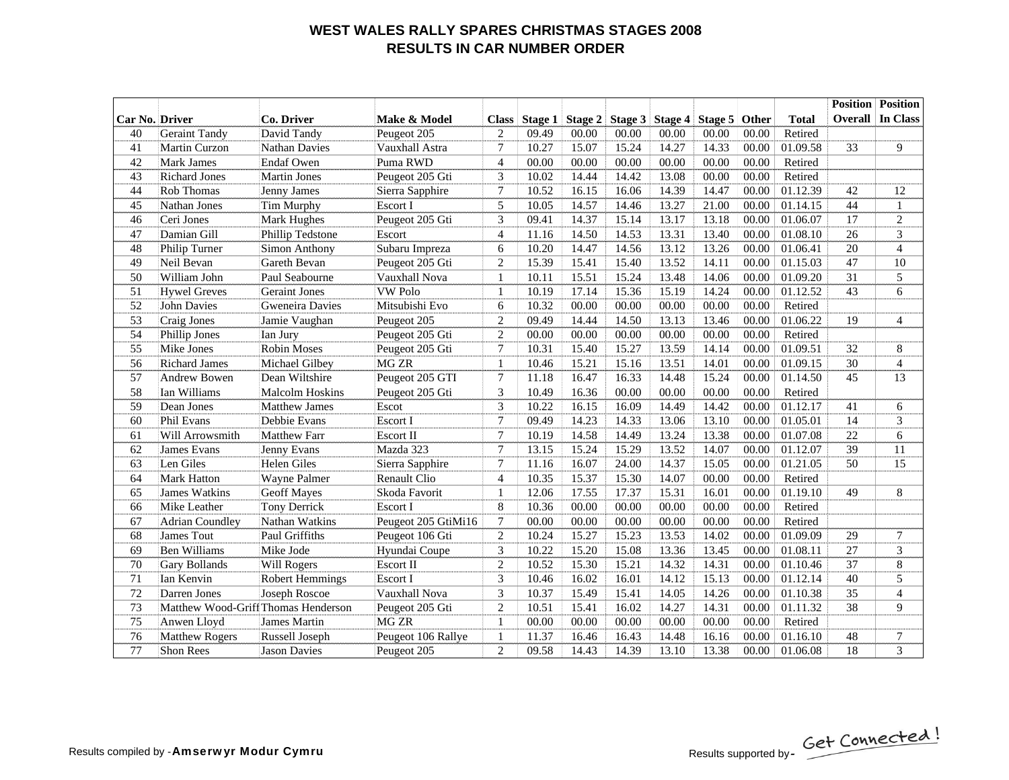#### **WEST WALES RALLY SPARES CHRISTMAS STAGES 2008 RESULTS IN CAR NUMBER ORDER**

|                       |                        |                                     |                     |                 |         |         |       |                 |         |       |              |                | <b>Position Position</b> |
|-----------------------|------------------------|-------------------------------------|---------------------|-----------------|---------|---------|-------|-----------------|---------|-------|--------------|----------------|--------------------------|
| <b>Car No. Driver</b> |                        | <b>Co. Driver</b>                   | Make & Model        | <b>Class</b>    | Stage 1 | Stage 2 |       | Stage 3 Stage 4 | Stage 5 | Other | <b>Total</b> | <b>Overall</b> | In Class                 |
| 40                    | <b>Geraint Tandy</b>   | David Tandy                         | Peugeot 205         | 2               | 09.49   | 00.00   | 00.00 | 00.00           | 00.00   | 00.00 | Retired      |                |                          |
| 41                    | Martin Curzon          | <b>Nathan Davies</b>                | Vauxhall Astra      | $\overline{7}$  | 10.27   | 15.07   | 15.24 | 14.27           | 14.33   | 00.00 | 01.09.58     | 33             | 9                        |
| 42                    | Mark James             | Endaf Owen                          | Puma RWD            | $\overline{4}$  | 00.00   | 00.00   | 00.00 | 00.00           | 00.00   | 00.00 | Retired      |                |                          |
| 43                    | <b>Richard Jones</b>   | <b>Martin Jones</b>                 | Peugeot 205 Gti     | 3               | 10.02   | 14.44   | 14.42 | 13.08           | 00.00   | 00.00 | Retired      |                |                          |
| 44                    | Rob Thomas             | Jenny James                         | Sierra Sapphire     | $\overline{7}$  | 10.52   | 16.15   | 16.06 | 14.39           | 14.47   | 00.00 | 01.12.39     | 42             | 12                       |
| 45                    | Nathan Jones           | Tim Murphy                          | Escort I            | $\overline{5}$  | 10.05   | 14.57   | 14.46 | 13.27           | 21.00   | 00.00 | 01.14.15     | 44             | $\mathbf{1}$             |
| 46                    | Ceri Jones             | Mark Hughes                         | Peugeot 205 Gti     | 3               | 09.41   | 14.37   | 15.14 | 13.17           | 13.18   | 00.00 | 01.06.07     | 17             | $\overline{2}$           |
| 47                    | Damian Gill            | Phillip Tedstone                    | Escort              | $\overline{4}$  | 11.16   | 14.50   | 14.53 | 13.31           | 13.40   | 00.00 | 01.08.10     | 26             | 3                        |
| 48                    | Philip Turner          | Simon Anthony                       | Subaru Impreza      | 6               | 10.20   | 14.47   | 14.56 | 13.12           | 13.26   | 00.00 | 01.06.41     | $20\,$         | $\overline{4}$           |
| 49                    | Neil Bevan             | Gareth Bevan                        | Peugeot 205 Gti     | $\overline{2}$  | 15.39   | 15.41   | 15.40 | 13.52           | 14.11   | 00.00 | 01.15.03     | 47             | 10                       |
| 50                    | William John           | Paul Seabourne                      | Vauxhall Nova       | $\mathbf{1}$    | 10.11   | 15.51   | 15.24 | 13.48           | 14.06   | 00.00 | 01.09.20     | 31             | 5                        |
| 51                    | <b>Hywel Greves</b>    | <b>Geraint Jones</b>                | <b>VW Polo</b>      | $\overline{1}$  | 10.19   | 17.14   | 15.36 | 15.19           | 14.24   | 00.00 | 01.12.52     | 43             | 6                        |
| 52                    | <b>John Davies</b>     | <b>Gweneira Davies</b>              | Mitsubishi Evo      | 6               | 10.32   | 00.00   | 00.00 | 00.00           | 00.00   | 00.00 | Retired      |                |                          |
| 53                    | Craig Jones            | Jamie Vaughan                       | Peugeot 205         | $\overline{c}$  | 09.49   | 14.44   | 14.50 | 13.13           | 13.46   | 00.00 | 01.06.22     | 19             | $\overline{4}$           |
| 54                    | Phillip Jones          | Ian Jury                            | Peugeot 205 Gti     | $\overline{c}$  | 00.00   | 00.00   | 00.00 | 00.00           | 00.00   | 00.00 | Retired      |                |                          |
| 55                    | Mike Jones             | <b>Robin Moses</b>                  | Peugeot 205 Gti     | $7\phantom{.0}$ | 10.31   | 15.40   | 15.27 | 13.59           | 14.14   | 00.00 | 01.09.51     | 32             | 8                        |
| 56                    | <b>Richard James</b>   | Michael Gilbey                      | MG ZR               | $\mathbf{1}$    | 10.46   | 15.21   | 15.16 | 13.51           | 14.01   | 00.00 | 01.09.15     | 30             | $\overline{4}$           |
| 57                    | <b>Andrew Bowen</b>    | Dean Wiltshire                      | Peugeot 205 GTI     | $\overline{7}$  | 11.18   | 16.47   | 16.33 | 14.48           | 15.24   | 00.00 | 01.14.50     | 45             | 13                       |
| 58                    | Ian Williams           | Malcolm Hoskins                     | Peugeot 205 Gti     | 3               | 10.49   | 16.36   | 00.00 | 00.00           | 00.00   | 00.00 | Retired      |                |                          |
| 59                    | Dean Jones             | <b>Matthew James</b>                | Escot               | 3               | 10.22   | 16.15   | 16.09 | 14.49           | 14.42   | 00.00 | 01.12.17     | 41             | 6                        |
| 60                    | Phil Evans             | Debbie Evans                        | Escort I            | $\overline{7}$  | 09.49   | 14.23   | 14.33 | 13.06           | 13.10   | 00.00 | 01.05.01     | 14             | 3                        |
| 61                    | Will Arrowsmith        | <b>Matthew Farr</b>                 | Escort II           | $\overline{7}$  | 10.19   | 14.58   | 14.49 | 13.24           | 13.38   | 00.00 | 01.07.08     | 22             | 6                        |
| 62                    | James Evans            | Jenny Evans                         | Mazda 323           | $\tau$          | 13.15   | 15.24   | 15.29 | 13.52           | 14.07   | 00.00 | 01.12.07     | 39             | 11                       |
| 63                    | Len Giles              | <b>Helen Giles</b>                  | Sierra Sapphire     | $\overline{7}$  | 11.16   | 16.07   | 24.00 | 14.37           | 15.05   | 00.00 | 01.21.05     | 50             | 15                       |
| 64                    | <b>Mark Hatton</b>     | Wayne Palmer                        | <b>Renault Clio</b> | $\overline{4}$  | 10.35   | 15.37   | 15.30 | 14.07           | 00.00   | 00.00 | Retired      |                |                          |
| 65                    | <b>James Watkins</b>   | <b>Geoff Mayes</b>                  | Skoda Favorit       | $\overline{1}$  | 12.06   | 17.55   | 17.37 | 15.31           | 16.01   | 00.00 | 01.19.10     | 49             | 8                        |
| 66                    | Mike Leather           | <b>Tony Derrick</b>                 | Escort I            | 8               | 10.36   | 00.00   | 00.00 | 00.00           | 00.00   | 00.00 | Retired      |                |                          |
| 67                    | <b>Adrian Coundley</b> | Nathan Watkins                      | Peugeot 205 GtiMi16 | $\tau$          | 00.00   | 00.00   | 00.00 | 00.00           | 00.00   | 00.00 | Retired      |                |                          |
| 68                    | <b>James Tout</b>      | Paul Griffiths                      | Peugeot 106 Gti     | 2               | 10.24   | 15.27   | 15.23 | 13.53           | 14.02   | 00.00 | 01.09.09     | 29             | 7                        |
| 69                    | <b>Ben Williams</b>    | Mike Jode                           | Hyundai Coupe       | 3               | 10.22   | 15.20   | 15.08 | 13.36           | 13.45   | 00.00 | 01.08.11     | 27             | 3                        |
| 70                    | Gary Bollands          | Will Rogers                         | <b>Escort II</b>    | $\overline{c}$  | 10.52   | 15.30   | 15.21 | 14.32           | 14.31   | 00.00 | 01.10.46     | 37             | 8                        |
| 71                    | Ian Kenvin             | <b>Robert Hemmings</b>              | Escort I            | 3               | 10.46   | 16.02   | 16.01 | 14.12           | 15.13   | 00.00 | 01.12.14     | 40             | 5                        |
| 72                    | Darren Jones           | Joseph Roscoe                       | Vauxhall Nova       | $\overline{3}$  | 10.37   | 15.49   | 15.41 | 14.05           | 14.26   | 00.00 | 01.10.38     | 35             | $\overline{4}$           |
| 73                    |                        | Matthew Wood-Griff Thomas Henderson | Peugeot 205 Gti     | $\overline{2}$  | 10.51   | 15.41   | 16.02 | 14.27           | 14.31   | 00.00 | 01.11.32     | 38             | 9                        |
| 75                    | Anwen Lloyd            | <b>James Martin</b>                 | MG ZR               | $\overline{1}$  | 00.00   | 00.00   | 00.00 | 00.00           | 00.00   | 00.00 | Retired      |                |                          |
| 76                    | <b>Matthew Rogers</b>  | Russell Joseph                      | Peugeot 106 Rallye  | $\mathbf{1}$    | 11.37   | 16.46   | 16.43 | 14.48           | 16.16   | 00.00 | 01.16.10     | 48             | $\tau$                   |
| 77                    | Shon Rees              | <b>Jason Davies</b>                 | Peugeot 205         | $\overline{2}$  | 09.58   | 14.43   | 14.39 | 13.10           | 13.38   | 00.00 | 01.06.08     | 18             | 3                        |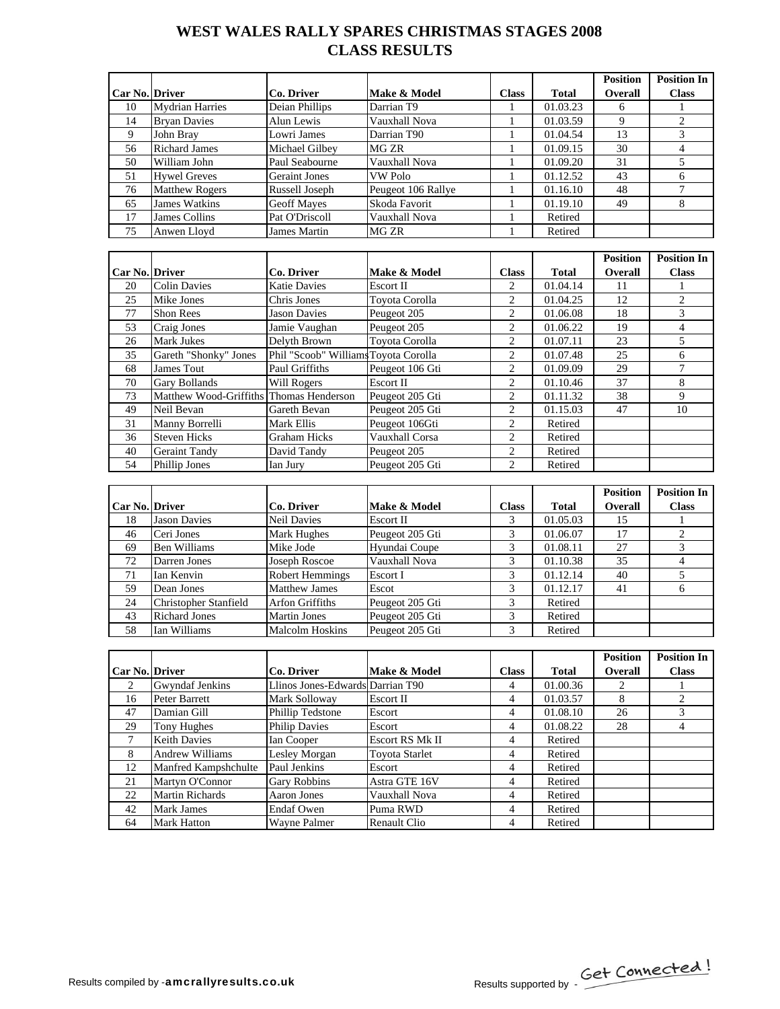## **WEST WALES RALLY SPARES CHRISTMAS STAGES 2008 CLASS RESULTS**

|                       |                        |                     |                    |       |              | <b>Position</b> | <b>Position In</b> |
|-----------------------|------------------------|---------------------|--------------------|-------|--------------|-----------------|--------------------|
| <b>Car No. Driver</b> |                        | Co. Driver          | Make & Model       | Class | <b>Total</b> | Overall         | <b>Class</b>       |
| 10                    | <b>Mydrian Harries</b> | Deian Phillips      | Darrian T9         |       | 01.03.23     | 6               |                    |
| 14                    | <b>Bryan Davies</b>    | Alun Lewis          | Vauxhall Nova      |       | 01.03.59     | 9               |                    |
| 9                     | John Brav              | Lowri James         | Darrian T90        |       | 01.04.54     | 13              |                    |
| 56                    | <b>Richard James</b>   | Michael Gilbey      | MG ZR              |       | 01.09.15     | 30              |                    |
| 50                    | William John           | Paul Seabourne      | Vauxhall Nova      |       | 01.09.20     | 31              |                    |
| 51                    | <b>Hywel Greves</b>    | Geraint Jones       | VW Polo            |       | 01.12.52     | 43              | h                  |
| 76                    | <b>Matthew Rogers</b>  | Russell Joseph      | Peugeot 106 Rallye |       | 01.16.10     | 48              |                    |
| 65                    | James Watkins          | <b>Geoff Mayes</b>  | Skoda Favorit      |       | 01.19.10     | 49              | 8                  |
| 17                    | James Collins          | Pat O'Driscoll      | Vauxhall Nova      |       | Retired      |                 |                    |
| 75                    | Anwen Llovd            | <b>James Martin</b> | MG ZR              |       | Retired      |                 |                    |

|                       |                                         |                                     |                 |                |              | <b>Position</b> | <b>Position In</b> |
|-----------------------|-----------------------------------------|-------------------------------------|-----------------|----------------|--------------|-----------------|--------------------|
| <b>Car No. Driver</b> |                                         | Co. Driver                          | Make & Model    | <b>Class</b>   | <b>Total</b> | <b>Overall</b>  | <b>Class</b>       |
| 20                    | <b>Colin Davies</b>                     | <b>Katie Davies</b>                 | Escort II       | 2              | 01.04.14     | 11              |                    |
| 25                    | Mike Jones                              | Chris Jones                         | Toyota Corolla  | 2              | 01.04.25     | 12              | $\mathfrak{D}$     |
| 77                    | Shon Rees                               | <b>Jason Davies</b>                 | Peugeot 205     | 2              | 01.06.08     | 18              | 3                  |
| 53                    | Craig Jones                             | Jamie Vaughan                       | Peugeot 205     | 2              | 01.06.22     | 19              | 4                  |
| 26                    | <b>Mark Jukes</b>                       | Delvth Brown                        | Toyota Corolla  | $\overline{2}$ | 01.07.11     | 23              |                    |
| 35                    | Gareth "Shonky" Jones                   | Phil "Scoob" WilliamsTovota Corolla |                 | 2              | 01.07.48     | 25              | 6                  |
| 68                    | James Tout                              | Paul Griffiths                      | Peugeot 106 Gti | 2              | 01.09.09     | 29              |                    |
| 70                    | <b>Gary Bollands</b>                    | Will Rogers                         | Escort II       | 2              | 01.10.46     | 37              | 8                  |
| 73                    | Matthew Wood-Griffiths Thomas Henderson |                                     | Peugeot 205 Gti | 2              | 01.11.32     | 38              | 9                  |
| 49                    | Neil Bevan                              | Gareth Bevan                        | Peugeot 205 Gti | 2              | 01.15.03     | 47              | 10                 |
| 31                    | Manny Borrelli                          | Mark Ellis                          | Peugeot 106Gti  | 2              | Retired      |                 |                    |
| 36                    | <b>Steven Hicks</b>                     | <b>Graham Hicks</b>                 | Vauxhall Corsa  | 2              | Retired      |                 |                    |
| 40                    | <b>Geraint Tandy</b>                    | David Tandy                         | Peugeot 205     | 2              | Retired      |                 |                    |
| 54                    | Phillip Jones                           | Ian Jury                            | Peugeot 205 Gti | 2              | Retired      |                 |                    |

|                       |                       |                        |                 |              |              | <b>Position</b> | <b>Position In</b> |
|-----------------------|-----------------------|------------------------|-----------------|--------------|--------------|-----------------|--------------------|
| <b>Car No. Driver</b> |                       | Co. Driver             | Make & Model    | <b>Class</b> | <b>Total</b> | <b>Overall</b>  | <b>Class</b>       |
| 18                    | <b>Jason Davies</b>   | <b>Neil Davies</b>     | Escort II       |              | 01.05.03     | 15              |                    |
| 46                    | Ceri Jones            | Mark Hughes            | Peugeot 205 Gti |              | 01.06.07     | 17              |                    |
| 69                    | Ben Williams          | Mike Jode              | Hyundai Coupe   | 3            | 01.08.11     | 27              |                    |
| 72                    | Darren Jones          | Joseph Roscoe          | Vauxhall Nova   | 3            | 01.10.38     | 35              |                    |
| 71                    | Ian Kenvin            | <b>Robert Hemmings</b> | Escort I        | 3            | 01.12.14     | 40              |                    |
| 59                    | Dean Jones            | <b>Matthew James</b>   | Escot           | 3            | 01.12.17     | 41              | h                  |
| 24                    | Christopher Stanfield | <b>Arfon Griffiths</b> | Peugeot 205 Gti | 3            | Retired      |                 |                    |
| 43                    | <b>Richard Jones</b>  | <b>Martin Jones</b>    | Peugeot 205 Gti | 3            | Retired      |                 |                    |
| 58                    | Ian Williams          | <b>Malcolm Hoskins</b> | Peugeot 205 Gti | 3            | Retired      |                 |                    |

|                       |                        |                                  |                        |              |          | <b>Position</b> | <b>Position In</b> |
|-----------------------|------------------------|----------------------------------|------------------------|--------------|----------|-----------------|--------------------|
| <b>Car No. Driver</b> |                        | <b>Co. Driver</b>                | Make & Model           | <b>Class</b> | Total    | <b>Overall</b>  | <b>Class</b>       |
| $\mathfrak{D}$        | <b>Gwyndaf Jenkins</b> | Llinos Jones-Edwards Darrian T90 |                        | 4            | 01.00.36 | $\mathfrak{D}$  |                    |
| 16                    | Peter Barrett          | Mark Solloway                    | Escort II              | 4            | 01.03.57 | 8               | $\overline{c}$     |
| 47                    | Damian Gill            | Phillip Tedstone                 | Escort                 | 4            | 01.08.10 | 26              | 3                  |
| 29                    | Tony Hughes            | <b>Philip Davies</b>             | Escort                 | 4            | 01.08.22 | 28              | 4                  |
| 7                     | <b>Keith Davies</b>    | Ian Cooper                       | <b>Escort RS Mk II</b> | 4            | Retired  |                 |                    |
| 8                     | <b>Andrew Williams</b> | Lesley Morgan                    | Toyota Starlet         | 4            | Retired  |                 |                    |
| 12                    | Manfred Kampshchulte   | Paul Jenkins                     | Escort                 | 4            | Retired  |                 |                    |
| 21                    | Martyn O'Connor        | <b>Gary Robbins</b>              | Astra GTE 16V          | 4            | Retired  |                 |                    |
| 22                    | <b>Martin Richards</b> | Aaron Jones                      | Vauxhall Nova          | 4            | Retired  |                 |                    |
| 42                    | Mark James             | <b>Endaf Owen</b>                | Puma RWD               | 4            | Retired  |                 |                    |
| 64                    | <b>Mark Hatton</b>     | Wayne Palmer                     | <b>Renault Clio</b>    | 4            | Retired  |                 |                    |

Results compiled by -**amcrallyresults.co.uk** Results supported by - **Set Connected** 1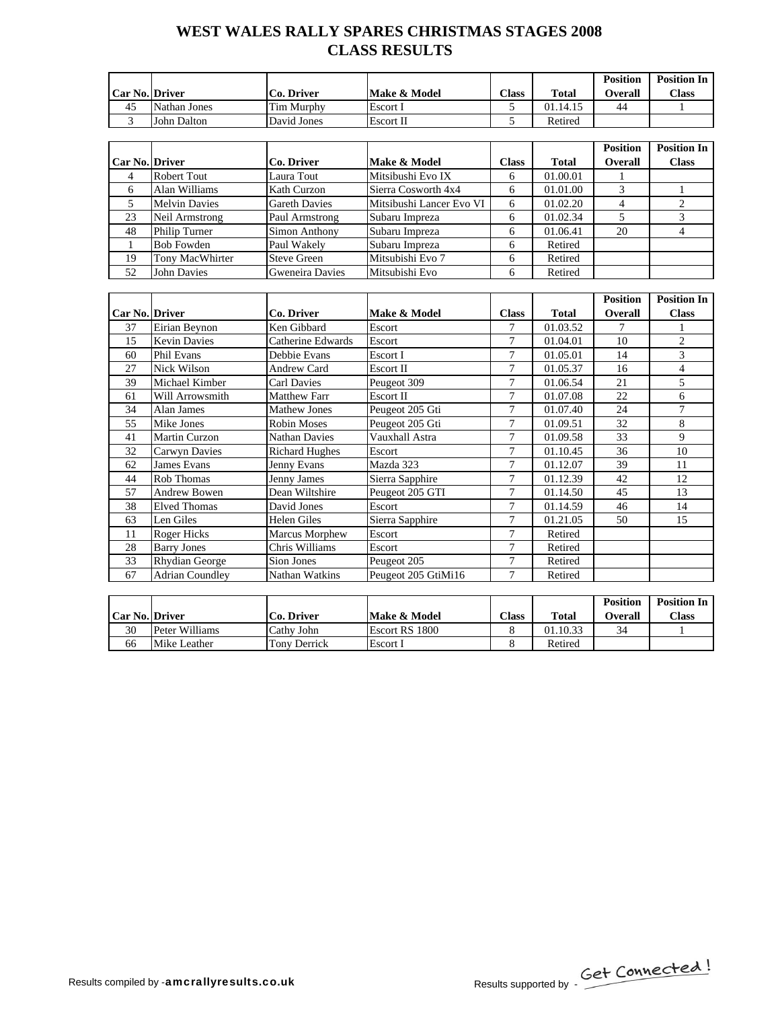## **WEST WALES RALLY SPARES CHRISTMAS STAGES 2008 CLASS RESULTS**

| <b>Car No. Driver</b> |              | Co. Driver  | Make & Model | $\text{Class}$ | Total    | <b>Position</b><br>Overall | <b>Position In</b><br><b>Class</b> |
|-----------------------|--------------|-------------|--------------|----------------|----------|----------------------------|------------------------------------|
| 45                    | Nathan Jones | Tim Murphy  | Escort I     |                | 01.14.15 | 44                         |                                    |
|                       | John Dalton  | David Jones | Escort II    |                | Retired  |                            |                                    |

|                  |                      |                      |                          |       |              | <b>Position</b> | <b>Position In</b> |
|------------------|----------------------|----------------------|--------------------------|-------|--------------|-----------------|--------------------|
| Car No.   Driver |                      | Co. Driver           | Make & Model             | Class | <b>Total</b> | <b>Overall</b>  | <b>Class</b>       |
| 4                | <b>Robert Tout</b>   | Laura Tout           | Mitsibushi Evo IX        | 6     | 01.00.01     |                 |                    |
| 6                | Alan Williams        | Kath Curzon          | Sierra Cosworth 4x4      | 6     | 01.01.00     |                 |                    |
|                  | <b>Melvin Davies</b> | <b>Gareth Davies</b> | Mitsibushi Lancer Evo VI | 6     | 01.02.20     | 4               |                    |
| 23               | Neil Armstrong       | Paul Armstrong       | Subaru Impreza           | 6     | 01.02.34     |                 |                    |
| 48               | Philip Turner        | Simon Anthony        | Subaru Impreza           | 6     | 01.06.41     | 20              |                    |
|                  | <b>Bob Fowden</b>    | Paul Wakely          | Subaru Impreza           | 6     | Retired      |                 |                    |
| 19               | Tony MacWhirter      | <b>Steve Green</b>   | Mitsubishi Evo 7         | 6     | Retired      |                 |                    |
| 52               | <b>John Davies</b>   | Gweneira Davies      | Mitsubishi Evo           | 6     | Retired      |                 |                    |

|                  |                        |                       |                     |              |              | <b>Position</b> | <b>Position In</b> |
|------------------|------------------------|-----------------------|---------------------|--------------|--------------|-----------------|--------------------|
| Car No.   Driver |                        | Co. Driver            | Make & Model        | <b>Class</b> | <b>Total</b> | Overall         | <b>Class</b>       |
| 37               | Eirian Beynon          | Ken Gibbard           | Escort              |              | 01.03.52     |                 |                    |
| 15               | <b>Kevin Davies</b>    | Catherine Edwards     | Escort              | 7            | 01.04.01     | 10              | $\overline{2}$     |
| 60               | Phil Evans             | Debbie Evans          | Escort I            | $\tau$       | 01.05.01     | 14              | 3                  |
| 27               | <b>Nick Wilson</b>     | Andrew Card           | <b>Escort II</b>    | 7            | 01.05.37     | 16              | 4                  |
| 39               | Michael Kimber         | <b>Carl Davies</b>    | Peugeot 309         | 7            | 01.06.54     | 21              | 5                  |
| 61               | Will Arrowsmith        | <b>Matthew Farr</b>   | Escort II           | 7            | 01.07.08     | 22              | 6                  |
| 34               | Alan James             | <b>Mathew Jones</b>   | Peugeot 205 Gti     | 7            | 01.07.40     | 24              |                    |
| 55               | Mike Jones             | <b>Robin Moses</b>    | Peugeot 205 Gti     | 7            | 01.09.51     | 32              | 8                  |
| 41               | <b>Martin Curzon</b>   | <b>Nathan Davies</b>  | Vauxhall Astra      | 7            | 01.09.58     | 33              | 9                  |
| 32               | <b>Carwyn Davies</b>   | <b>Richard Hughes</b> | Escort              | 7            | 01.10.45     | 36              | 10                 |
| 62               | James Evans            | Jenny Evans           | Mazda 323           | 7            | 01.12.07     | 39              | 11                 |
| 44               | Rob Thomas             | Jenny James           | Sierra Sapphire     | 7            | 01.12.39     | 42              | 12                 |
| 57               | Andrew Bowen           | Dean Wiltshire        | Peugeot 205 GTI     | 7            | 01.14.50     | 45              | 13                 |
| 38               | <b>Elved Thomas</b>    | David Jones           | Escort              | 7            | 01.14.59     | 46              | 14                 |
| 63               | Len Giles              | <b>Helen Giles</b>    | Sierra Sapphire     | 7            | 01.21.05     | 50              | 15                 |
| 11               | Roger Hicks            | Marcus Morphew        | Escort              | 7            | Retired      |                 |                    |
| 28               | <b>Barry Jones</b>     | Chris Williams        | Escort              | 7            | Retired      |                 |                    |
| 33               | <b>Rhydian George</b>  | Sion Jones            | Peugeot 205         | 7            | Retired      |                 |                    |
| 67               | <b>Adrian Coundley</b> | Nathan Watkins        | Peugeot 205 GtiMi16 | 7            | Retired      |                 |                    |

|                  |                |              |                |                |              | <b>Position</b> | <b>Position In</b> |
|------------------|----------------|--------------|----------------|----------------|--------------|-----------------|--------------------|
| Car No.   Driver |                | Co. Driver   | Make & Model   | $\text{Class}$ | <b>Total</b> | Overall         | $\text{Class}$     |
| 30               | Peter Williams | Cathy John   | Escort RS 1800 |                | 01.10.33     |                 |                    |
| 66               | Mike Leather   | Tony Derrick | Escort I       |                | Retired      |                 |                    |

Results compiled by -**amcrallyresults.co.uk** Results supported by - **Set Connected** 1